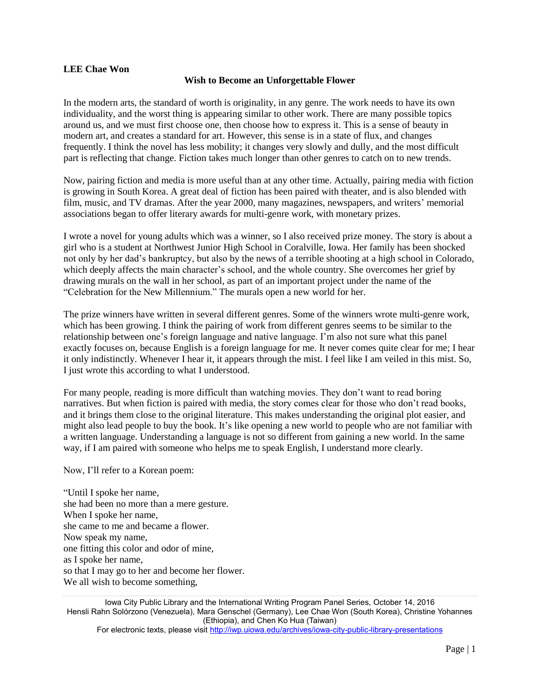## **LEE Chae Won**

## **Wish to Become an Unforgettable Flower**

In the modern arts, the standard of worth is originality, in any genre. The work needs to have its own individuality, and the worst thing is appearing similar to other work. There are many possible topics around us, and we must first choose one, then choose how to express it. This is a sense of beauty in modern art, and creates a standard for art. However, this sense is in a state of flux, and changes frequently. I think the novel has less mobility; it changes very slowly and dully, and the most difficult part is reflecting that change. Fiction takes much longer than other genres to catch on to new trends.

Now, pairing fiction and media is more useful than at any other time. Actually, pairing media with fiction is growing in South Korea. A great deal of fiction has been paired with theater, and is also blended with film, music, and TV dramas. After the year 2000, many magazines, newspapers, and writers' memorial associations began to offer literary awards for multi-genre work, with monetary prizes.

I wrote a novel for young adults which was a winner, so I also received prize money. The story is about a girl who is a student at Northwest Junior High School in Coralville, Iowa. Her family has been shocked not only by her dad's bankruptcy, but also by the news of a terrible shooting at a high school in Colorado, which deeply affects the main character's school, and the whole country. She overcomes her grief by drawing murals on the wall in her school, as part of an important project under the name of the "Celebration for the New Millennium." The murals open a new world for her.

The prize winners have written in several different genres. Some of the winners wrote multi-genre work, which has been growing. I think the pairing of work from different genres seems to be similar to the relationship between one's foreign language and native language. I'm also not sure what this panel exactly focuses on, because English is a foreign language for me. It never comes quite clear for me; I hear it only indistinctly. Whenever I hear it, it appears through the mist. I feel like I am veiled in this mist. So, I just wrote this according to what I understood.

For many people, reading is more difficult than watching movies. They don't want to read boring narratives. But when fiction is paired with media, the story comes clear for those who don't read books, and it brings them close to the original literature. This makes understanding the original plot easier, and might also lead people to buy the book. It's like opening a new world to people who are not familiar with a written language. Understanding a language is not so different from gaining a new world. In the same way, if I am paired with someone who helps me to speak English, I understand more clearly.

Now, I'll refer to a Korean poem:

"Until I spoke her name, she had been no more than a mere gesture. When I spoke her name, she came to me and became a flower. Now speak my name, one fitting this color and odor of mine, as I spoke her name, so that I may go to her and become her flower. We all wish to become something,

Iowa City Public Library and the International Writing Program Panel Series, October 14, 2016 Hensli Rahn Solórzono (Venezuela), Mara Genschel (Germany), Lee Chae Won (South Korea), Christine Yohannes (Ethiopia), and Chen Ko Hua (Taiwan)

For electronic texts, please visit<http://iwp.uiowa.edu/archives/iowa-city-public-library-presentations>